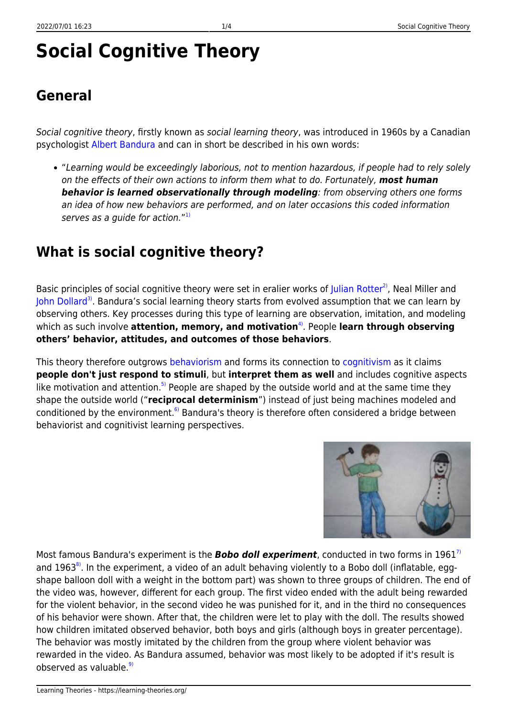# **Social Cognitive Theory**

### **General**

Social cognitive theory, firstly known as social learning theory, was introduced in 1960s by a Canadian psychologist [Albert Bandura](http://en.wikipedia.org/wiki/Albert_Bandura) and can in short be described in his own words:

"Learning would be exceedingly laborious, not to mention hazardous, if people had to rely solely on the effects of their own actions to inform them what to do. Fortunately, *most human behavior is learned observationally through modeling*: from observing others one forms an idea of how new behaviors are performed, and on later occasions this coded information serves as a guide for action." $^{\rm 1)}$  $^{\rm 1)}$  $^{\rm 1)}$ 

### **What is social cognitive theory?**

Basic principles of social cognitive theory were set in eralier works of [Julian Rotter](http://psych.fullerton.edu/jmearns/rotter.htm)<sup>2</sup>, Neal Miller and [John Dollard](http://www.mnsu.edu/emuseum/information/biography/abcde/dollard_john.html)<sup>[3\)](#page--1-0)</sup>. Bandura's social learning theory starts from evolved assumption that we can learn by observing others. Key processes during this type of learning are observation, imitation, and modeling which as such involve **attention, memory, and motivation**<sup>4</sup>. People **learn through observing others' behavior, attitudes, and outcomes of those behaviors**.

This theory therefore outgrows [behaviorism](https://learning-theories.org/doku.php?id=learning_paradigms:behaviorism) and forms its connection to [cognitivism](https://learning-theories.org/doku.php?id=learning_paradigms:cognitivism) as it claims **people don't just respond to stimuli**, but **interpret them as well** and includes cognitive aspects like motivation and attention.<sup>[5\)](#page--1-0)</sup> People are shaped by the outside world and at the same time they shape the outside world ("**reciprocal determinism**") instead of just being machines modeled and conditioned by the environment.<sup>[6\)](#page--1-0)</sup> Bandura's theory is therefore often considered a bridge between behaviorist and cognitivist learning perspectives.



Most famous Bandura's experiment is the *Bobo doll experiment*, conducted in two forms in 1961[7\)](#page--1-0) and 1963 $^{8}$ . In the experiment, a video of an adult behaving violently to a Bobo doll (inflatable, eggshape balloon doll with a weight in the bottom part) was shown to three groups of children. The end of the video was, however, different for each group. The first video ended with the adult being rewarded for the violent behavior, in the second video he was punished for it, and in the third no consequences of his behavior were shown. After that, the children were let to play with the doll. The results showed how children imitated observed behavior, both boys and girls (although boys in greater percentage). The behavior was mostly imitated by the children from the group where violent behavior was rewarded in the video. As Bandura assumed, behavior was most likely to be adopted if it's result is observed as valuable. $9$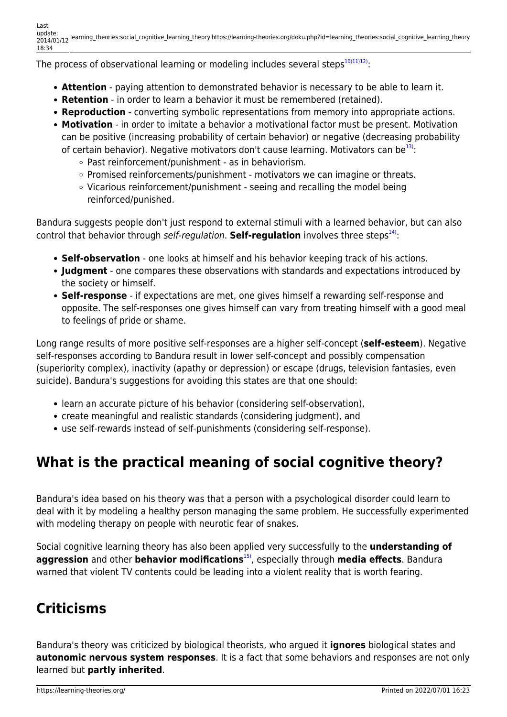The process of observational learning or modeling includes several steps $1011112$ ):

- **Attention** paying attention to demonstrated behavior is necessary to be able to learn it.
- **Retention** in order to learn a behavior it must be remembered (retained).
- **Reproduction** converting symbolic representations from memory into appropriate actions.
- **Motivation** in order to imitate a behavior a motivational factor must be present. Motivation can be positive (increasing probability of certain behavior) or negative (decreasing probability of certain behavior). Negative motivators don't cause learning. Motivators can be $^{13}$ :
	- Past reinforcement/punishment as in behaviorism.
	- $\circ$  Promised reinforcements/punishment motivators we can imagine or threats.
	- $\circ$  Vicarious reinforcement/punishment seeing and recalling the model being reinforced/punished.

Bandura suggests people don't just respond to external stimuli with a learned behavior, but can also control that behavior through self-regulation. **Self-regulation** involves three steps<sup>[14\)](#page--1-0)</sup>:

- **Self-observation** one looks at himself and his behavior keeping track of his actions.
- **Judgment** one compares these observations with standards and expectations introduced by the society or himself.
- **Self-response** if expectations are met, one gives himself a rewarding self-response and opposite. The self-responses one gives himself can vary from treating himself with a good meal to feelings of pride or shame.

Long range results of more positive self-responses are a higher self-concept (**self-esteem**). Negative self-responses according to Bandura result in lower self-concept and possibly compensation (superiority complex), inactivity (apathy or depression) or escape (drugs, television fantasies, even suicide). Bandura's suggestions for avoiding this states are that one should:

- learn an accurate picture of his behavior (considering self-observation),
- create meaningful and realistic standards (considering judgment), and
- use self-rewards instead of self-punishments (considering self-response).

### **What is the practical meaning of social cognitive theory?**

Bandura's idea based on his theory was that a person with a psychological disorder could learn to deal with it by modeling a healthy person managing the same problem. He successfully experimented with modeling therapy on people with neurotic fear of snakes.

Social cognitive learning theory has also been applied very successfully to the **understanding of aggression** and other **behavior modifications**[15\)](#page--1-0), especially through **media effects**. Bandura warned that violent TV contents could be leading into a violent reality that is worth fearing.

## **Criticisms**

Bandura's theory was criticized by biological theorists, who argued it **ignores** biological states and **autonomic nervous system responses**. It is a fact that some behaviors and responses are not only learned but **partly inherited**.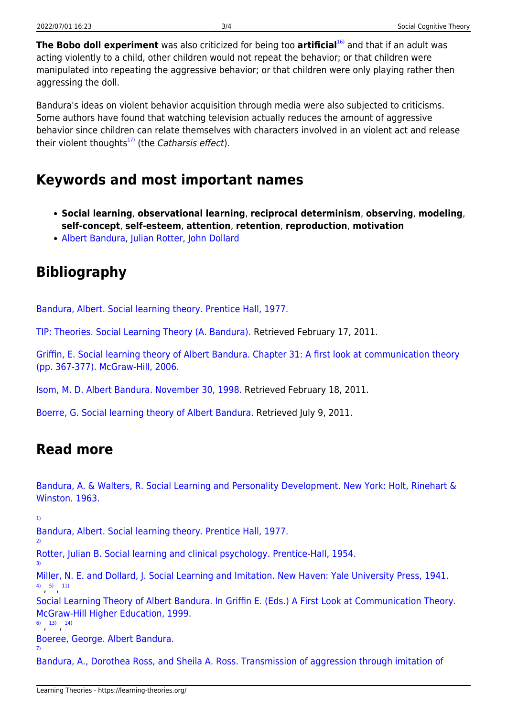**The Bobo doll experiment** was also criticized for being too **artificial**[16\)](#page--1-0) and that if an adult was acting violently to a child, other children would not repeat the behavior; or that children were manipulated into repeating the aggressive behavior; or that children were only playing rather then aggressing the doll.

Bandura's ideas on violent behavior acquisition through media were also subjected to criticisms. Some authors have found that watching television actually reduces the amount of aggressive behavior since children can relate themselves with characters involved in an violent act and release their violent thoughts $^{17}$  (the Catharsis effect).

#### **Keywords and most important names**

- **Social learning**, **observational learning**, **reciprocal determinism**, **observing**, **modeling**, **self-concept**, **self-esteem**, **attention**, **retention**, **reproduction**, **motivation**
- [Albert Bandura](http://en.wikipedia.org/wiki/Albert_Bandura), [Julian Rotter,](http://psychology.jrank.org/pages/550/Julian-B-Rotter.html) [John Dollard](http://www.mnsu.edu/emuseum/information/biography/abcde/dollard_john.html)

### **Bibliography**

[Bandura, Albert. Social learning theory. Prentice Hall, 1977.](http://books.google.hr/books?id=IXvuAAAAMAAJ)

[TIP: Theories. Social Learning Theory \(A. Bandura\).](http://tip.psychology.org/bandura.html) Retrieved February 17, 2011.

[Griffin, E. Social learning theory of Albert Bandura. Chapter 31: A first look at communication theory](http://www.afirstlook.com/docs/sociallearning.pdf) [\(pp. 367-377\). McGraw-Hill, 2006.](http://www.afirstlook.com/docs/sociallearning.pdf)

[Isom, M. D. Albert Bandura. November 30, 1998.](http://www.criminology.fsu.edu/crimtheory/bandura.htm) Retrieved February 18, 2011.

[Boerre, G. Social learning theory of Albert Bandura.](http://www.mhhe.com/socscience/comm/bandur-s.mhtml) Retrieved July 9, 2011.

#### **Read more**

[Bandura, A. & Walters, R. Social Learning and Personality Development. New York: Holt, Rinehart &](http://books.google.hr/books?id=-WhHAAAAMAAJ) [Winston. 1963.](http://books.google.hr/books?id=-WhHAAAAMAAJ)

[1\)](#page--1-0)

[2\)](#page--1-0)

[3\)](#page--1-0)

[Bandura, Albert. Social learning theory. Prentice Hall, 1977.](http://books.google.hr/books?id=IXvuAAAAMAAJ)

[Rotter, Julian B. Social learning and clinical psychology. Prentice-Hall, 1954.](http://books.google.hr/books?id=kx1sAAAAMAAJ)

[Miller, N. E. and Dollard, J. Social Learning and Imitation. New Haven: Yale University Press, 1941.](http://books.google.com/books?id=OHNPNgAACAAJ) [4\)](#page--1-0) , [5\)](#page--1-0) , [11\)](#page--1-0)

[Social Learning Theory of Albert Bandura. In Griffin E. \(Eds.\) A First Look at Communication Theory.](http://www.mhhe.com/socscience/comm/bandur-s.mhtml) [McGraw-Hill Higher Education, 1999.](http://www.mhhe.com/socscience/comm/bandur-s.mhtml)

[6\)](#page--1-0) , [13\)](#page--1-0) , [14\)](#page--1-0)

[Boeree, George. Albert Bandura.](http://webspace.ship.edu/cgboer/bandura.html)

[7\)](#page--1-0)

[Bandura, A., Dorothea Ross, and Sheila A. Ross. Transmission of aggression through imitation of](http://psychclassics.yorku.ca/Bandura/bobo.htm)